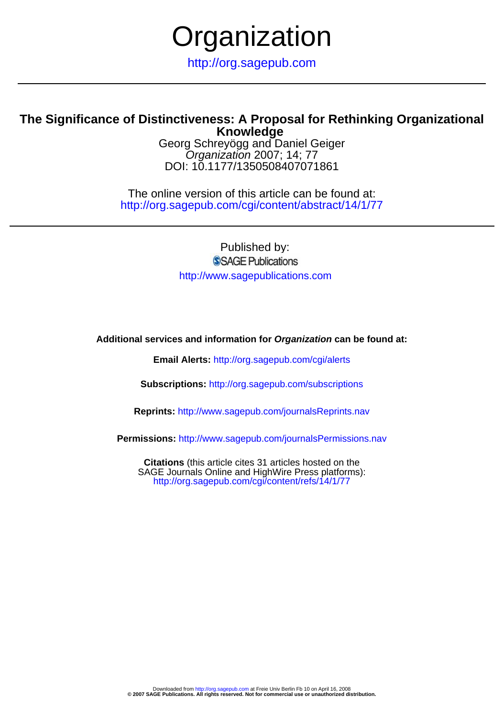# **Organization**

http://org.sagepub.com

## **Knowledge The Significance of Distinctiveness: A Proposal for Rethinking Organizational**

DOI: 10.1177/1350508407071861 Organization 2007; 14; 77 Georg Schreyögg and Daniel Geiger

http://org.sagepub.com/cgi/content/abstract/14/1/77 The online version of this article can be found at:

> Published by: SSAGE Publications http://www.sagepublications.com

**Additional services and information for Organization can be found at:**

**Email Alerts:** <http://org.sagepub.com/cgi/alerts>

**Subscriptions:** <http://org.sagepub.com/subscriptions>

**Reprints:** <http://www.sagepub.com/journalsReprints.nav>

**Permissions:** <http://www.sagepub.com/journalsPermissions.nav>

<http://org.sagepub.com/cgi/content/refs/14/1/77> SAGE Journals Online and HighWire Press platforms): **Citations** (this article cites 31 articles hosted on the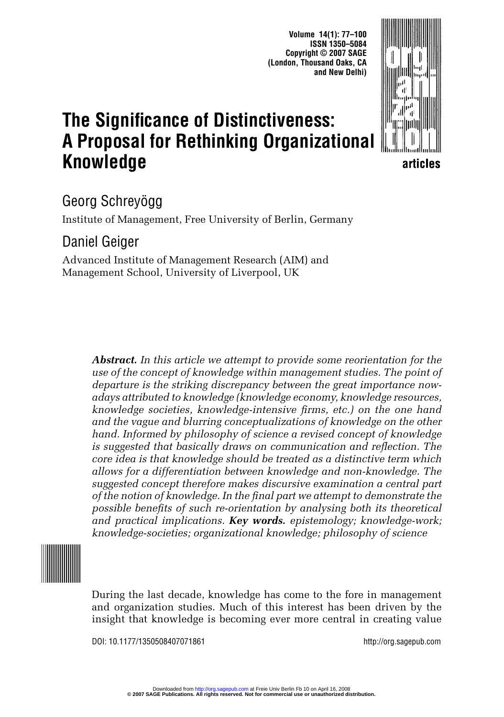**© 2007 SAGE Publications. All rights reserved. Not for commercial use or unauthorized distribution.** Downloaded from<http://org.sagepub.com>at Freie Univ Berlin Fb 10 on April 16, 2008

**Volume 14(1): 77–100 ISSN 1350–5084 Copyright © 2007 SAGE (London, Thousand Oaks, CA and New Delhi)**

# **The Significance of Distinctiveness: A Proposal for Rethinking Organizational Knowledge**

Georg Schreyögg

Institute of Management, Free University of Berlin, Germany

## Daniel Geiger

Advanced Institute of Management Research (AIM) and Management School, University of Liverpool, UK

> *Abstract. In this article we attempt to provide some reorientation for the use of the concept of knowledge within management studies. The point of departure is the striking discrepancy between the great importance nowadays attributed to knowledge (knowledge economy, knowledge resources, knowledge societies, knowledge-intensive fi rms, etc.) on the one hand and the vague and blurring conceptualizations of knowledge on the other hand. Informed by philosophy of science a revised concept of knowledge is suggested that basically draws on communication and reflection. The core idea is that knowledge should be treated as a distinctive term which allows for a differentiation between knowledge and non-knowledge. The suggested concept therefore makes discursive examination a central part of the notion of knowledge. In the fi nal part we attempt to demonstrate the possible benefits of such re-orientation by analysing both its theoretical and practical implications. Key words. epistemology; knowledge-work; knowledge-societies; organizational knowledge; philosophy of science*



During the last decade, knowledge has come to the fore in management and organization studies. Much of this interest has been driven by the insight that knowledge is becoming ever more central in creating value

DOI: 10.1177/1350508407071861 http://org.sagepub.com

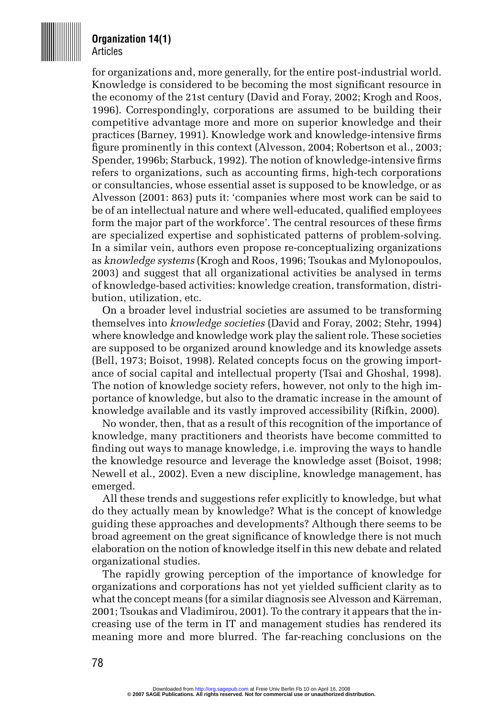

for organizations and, more generally, for the entire post-industrial world. Knowledge is considered to be becoming the most significant resource in the economy of the 21st century (David and Foray, 2002; Krogh and Roos, 1996). Correspondingly, corporations are assumed to be building their competitive advantage more and more on superior knowledge and their practices (Barney, 1991). Knowledge work and knowledge-intensive firms figure prominently in this context (Alvesson, 2004; Robertson et al., 2003; Spender, 1996b; Starbuck, 1992). The notion of knowledge-intensive firms refers to organizations, such as accounting firms, high-tech corporations or consultancies, whose essential asset is supposed to be knowledge, or as Alvesson (2001: 863) puts it: 'companies where most work can be said to be of an intellectual nature and where well-educated, qualified employees form the major part of the workforce'. The central resources of these firms are specialized expertise and sophisticated patterns of problem-solving. In a similar vein, authors even propose re-conceptualizing organizations as *knowledge systems* (Krogh and Roos, 1996; Tsoukas and Mylonopoulos, 2003) and suggest that all organizational activities be analysed in terms of knowledge-based activities: knowledge creation, transformation, distribution, utilization, etc.

On a broader level industrial societies are assumed to be transforming themselves into *knowledge societies* (David and Foray, 2002; Stehr, 1994) where knowledge and knowledge work play the salient role. These societies are supposed to be organized around knowledge and its knowledge assets (Bell, 1973; Boisot, 1998). Related concepts focus on the growing importance of social capital and intellectual property (Tsai and Ghoshal, 1998). The notion of knowledge society refers, however, not only to the high importance of knowledge, but also to the dramatic increase in the amount of knowledge available and its vastly improved accessibility (Rifkin, 2000).

No wonder, then, that as a result of this recognition of the importance of knowledge, many practitioners and theorists have become committed to finding out ways to manage knowledge, i.e. improving the ways to handle the knowledge resource and leverage the knowledge asset (Boisot, 1998; Newell et al., 2002). Even a new discipline, knowledge management, has emerged.

All these trends and suggestions refer explicitly to knowledge, but what do they actually mean by knowledge? What is the concept of knowledge guiding these approaches and developments? Although there seems to be broad agreement on the great significance of knowledge there is not much elaboration on the notion of knowledge itself in this new debate and related organizational studies.

The rapidly growing perception of the importance of knowledge for organizations and corporations has not yet yielded sufficient clarity as to what the concept means (for a similar diagnosis see Alvesson and Kärreman, 2001; Tsoukas and Vladimirou, 2001). To the contrary it appears that the increasing use of the term in IT and management studies has rendered its meaning more and more blurred. The far-reaching conclusions on the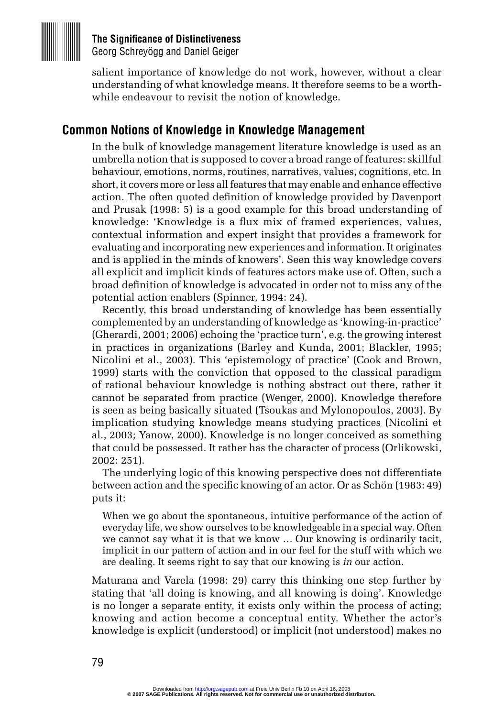

salient importance of knowledge do not work, however, without a clear understanding of what knowledge means. It therefore seems to be a worthwhile endeavour to revisit the notion of knowledge.

## **Common Notions of Knowledge in Knowledge Management**

In the bulk of knowledge management literature knowledge is used as an umbrella notion that is supposed to cover a broad range of features: skillful behaviour, emotions, norms, routines, narratives, values, cognitions, etc. In short, it covers more or less all features that may enable and enhance effective action. The often quoted definition of knowledge provided by Davenport and Prusak (1998: 5) is a good example for this broad understanding of knowledge: 'Knowledge is a flux mix of framed experiences, values, contextual information and expert insight that provides a framework for evaluating and incorporating new experiences and information. It originates and is applied in the minds of knowers'. Seen this way knowledge covers all explicit and implicit kinds of features actors make use of. Often, such a broad definition of knowledge is advocated in order not to miss any of the potential action enablers (Spinner, 1994: 24).

Recently, this broad understanding of knowledge has been essentially complemented by an understanding of knowledge as 'knowing-in-practice' (Gherardi, 2001; 2006) echoing the 'practice turn', e.g. the growing interest in practices in organizations (Barley and Kunda, 2001; Blackler, 1995; Nicolini et al., 2003). This 'epistemology of practice' (Cook and Brown, 1999) starts with the conviction that opposed to the classical paradigm of rational behaviour knowledge is nothing abstract out there, rather it cannot be separated from practice (Wenger, 2000). Knowledge therefore is seen as being basically situated (Tsoukas and Mylonopoulos, 2003). By implication studying knowledge means studying practices (Nicolini et al., 2003; Yanow, 2000). Knowledge is no longer conceived as something that could be possessed. It rather has the character of process (Orlikowski, 2002: 251).

The underlying logic of this knowing perspective does not differentiate between action and the specific knowing of an actor. Or as Schön (1983: 49) puts it:

When we go about the spontaneous, intuitive performance of the action of everyday life, we show ourselves to be knowledgeable in a special way. Often we cannot say what it is that we know … Our knowing is ordinarily tacit, implicit in our pattern of action and in our feel for the stuff with which we are dealing. It seems right to say that our knowing is *in* our action.

Maturana and Varela (1998: 29) carry this thinking one step further by stating that 'all doing is knowing, and all knowing is doing'. Knowledge is no longer a separate entity, it exists only within the process of acting; knowing and action become a conceptual entity. Whether the actor's knowledge is explicit (understood) or implicit (not understood) makes no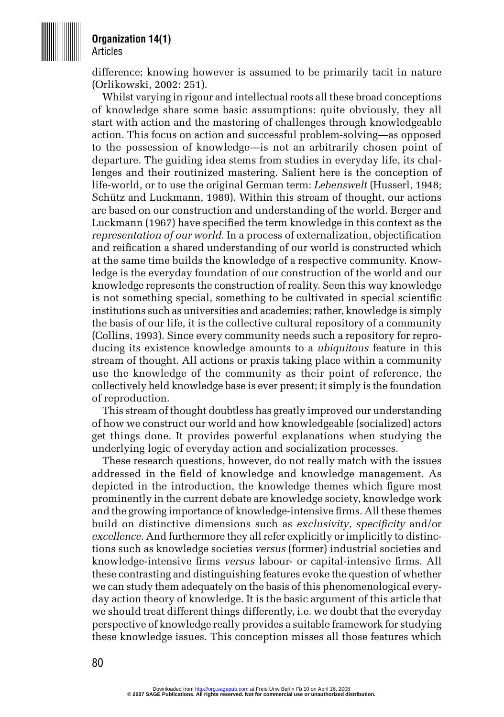

difference; knowing however is assumed to be primarily tacit in nature (Orlikowski, 2002: 251).

Whilst varying in rigour and intellectual roots all these broad conceptions of knowledge share some basic assumptions: quite obviously, they all start with action and the mastering of challenges through knowledgeable action. This focus on action and successful problem-solving—as opposed to the possession of knowledge—is not an arbitrarily chosen point of departure*.* The guiding idea stems from studies in everyday life, its challenges and their routinized mastering. Salient here is the conception of life-world, or to use the original German term: *Lebenswelt* (Husserl, 1948; Schütz and Luckmann, 1989). Within this stream of thought, our actions are based on our construction and understanding of the world. Berger and Luckmann (1967) have specified the term knowledge in this context as the *representation of our world*. In a process of externalization, objectification and reification a shared understanding of our world is constructed which at the same time builds the knowledge of a respective community. Knowledge is the everyday foundation of our construction of the world and our knowledge represents the construction of reality. Seen this way knowledge is not something special, something to be cultivated in special scientific institutions such as universities and academies; rather, knowledge is simply the basis of our life, it is the collective cultural repository of a community (Collins, 1993). Since every community needs such a repository for reproducing its existence knowledge amounts to a *ubiquitous* feature in this stream of thought. All actions or praxis taking place within a community use the knowledge of the community as their point of reference, the collectively held knowledge base is ever present; it simply is the foundation of reproduction.

This stream of thought doubtless has greatly improved our understanding of how we construct our world and how knowledgeable (socialized) actors get things done. It provides powerful explanations when studying the underlying logic of everyday action and socialization processes.

These research questions, however, do not really match with the issues addressed in the field of knowledge and knowledge management. As depicted in the introduction, the knowledge themes which figure most prominently in the current debate are knowledge society, knowledge work and the growing importance of knowledge-intensive firms. All these themes build on distinctive dimensions such as *exclusivity*, *specificity* and/or *excellence.* And furthermore they all refer explicitly or implicitly to distinctions such as knowledge societies *versus* (former) industrial societies and knowledge-intensive firms *versus* labour- or capital-intensive firms. All these contrasting and distinguishing features evoke the question of whether we can study them adequately on the basis of this phenomenological everyday action theory of knowledge. It is the basic argument of this article that we should treat different things differently, i.e. we doubt that the everyday perspective of knowledge really provides a suitable framework for studying these knowledge issues. This conception misses all those features which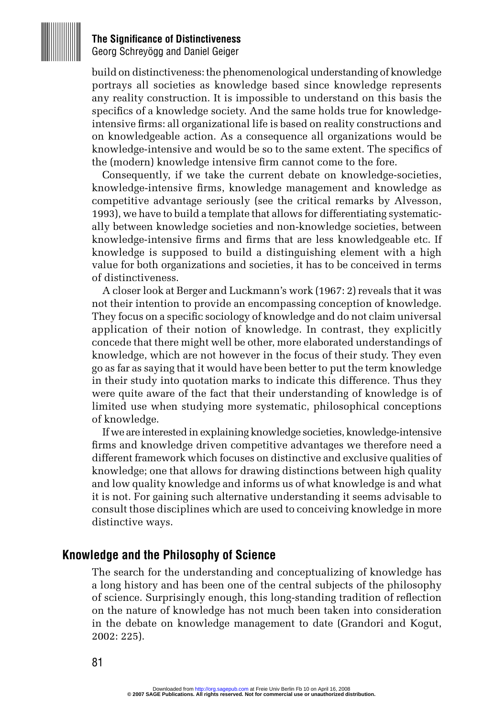

Georg Schreyögg and Daniel Geiger

build on distinctiveness: the phenomenological understanding of knowledge portrays all societies as knowledge based since knowledge represents any reality construction. It is impossible to understand on this basis the specifics of a knowledge society. And the same holds true for knowledgeintensive firms: all organizational life is based on reality constructions and on knowledgeable action. As a consequence all organizations would be knowledge-intensive and would be so to the same extent. The specifics of the (modern) knowledge intensive firm cannot come to the fore.

Consequently, if we take the current debate on knowledge-societies, knowledge-intensive firms, knowledge management and knowledge as competitive advantage seriously (see the critical remarks by Alvesson, 1993), we have to build a template that allows for differentiating systematically between knowledge societies and non-knowledge societies, between knowledge-intensive firms and firms that are less knowledgeable etc. If knowledge is supposed to build a distinguishing element with a high value for both organizations and societies, it has to be conceived in terms of distinctiveness.

A closer look at Berger and Luckmann's work (1967: 2) reveals that it was not their intention to provide an encompassing conception of knowledge. They focus on a specific sociology of knowledge and do not claim universal application of their notion of knowledge. In contrast, they explicitly concede that there might well be other, more elaborated understandings of knowledge, which are not however in the focus of their study. They even go as far as saying that it would have been better to put the term knowledge in their study into quotation marks to indicate this difference. Thus they were quite aware of the fact that their understanding of knowledge is of limited use when studying more systematic, philosophical conceptions of knowledge.

If we are interested in explaining knowledge societies, knowledge-intensive firms and knowledge driven competitive advantages we therefore need a different framework which focuses on distinctive and exclusive qualities of knowledge; one that allows for drawing distinctions between high quality and low quality knowledge and informs us of what knowledge is and what it is not. For gaining such alternative understanding it seems advisable to consult those disciplines which are used to conceiving knowledge in more distinctive ways.

## **Knowledge and the Philosophy of Science**

The search for the understanding and conceptualizing of knowledge has a long history and has been one of the central subjects of the philosophy of science. Surprisingly enough, this long-standing tradition of reflection on the nature of knowledge has not much been taken into consideration in the debate on knowledge management to date (Grandori and Kogut, 2002: 225).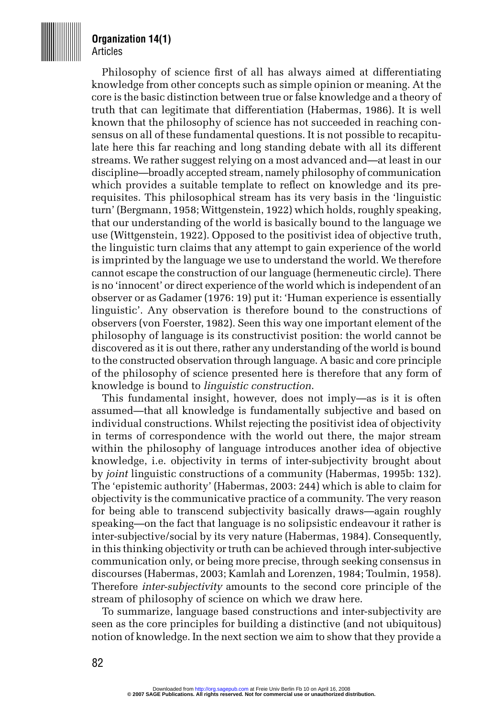

Philosophy of science first of all has always aimed at differentiating knowledge from other concepts such as simple opinion or meaning. At the core is the basic distinction between true or false knowledge and a theory of truth that can legitimate that differentiation (Habermas, 1986). It is well known that the philosophy of science has not succeeded in reaching consensus on all of these fundamental questions. It is not possible to recapitulate here this far reaching and long standing debate with all its different streams. We rather suggest relying on a most advanced and—at least in our discipline—broadly accepted stream, namely philosophy of communication which provides a suitable template to reflect on knowledge and its prerequisites. This philosophical stream has its very basis in the 'linguistic turn' (Bergmann, 1958; Wittgenstein, 1922) which holds, roughly speaking, that our understanding of the world is basically bound to the language we use (Wittgenstein, 1922). Opposed to the positivist idea of objective truth, the linguistic turn claims that any attempt to gain experience of the world is imprinted by the language we use to understand the world. We therefore cannot escape the construction of our language (hermeneutic circle). There is no 'innocent' or direct experience of the world which is independent of an observer or as Gadamer (1976: 19) put it: 'Human experience is essentially linguistic'. Any observation is therefore bound to the constructions of observers (von Foerster, 1982). Seen this way one important element of the philosophy of language is its constructivist position: the world cannot be discovered as it is out there, rather any understanding of the world is bound to the constructed observation through language. A basic and core principle of the philosophy of science presented here is therefore that any form of knowledge is bound to *linguistic construction*.

This fundamental insight, however, does not imply—as is it is often assumed—that all knowledge is fundamentally subjective and based on individual constructions. Whilst rejecting the positivist idea of objectivity in terms of correspondence with the world out there, the major stream within the philosophy of language introduces another idea of objective knowledge, i.e. objectivity in terms of inter-subjectivity brought about by *joint* linguistic constructions of a community (Habermas, 1995b: 132). The 'epistemic authority' (Habermas, 2003: 244) which is able to claim for objectivity is the communicative practice of a community. The very reason for being able to transcend subjectivity basically draws—again roughly speaking—on the fact that language is no solipsistic endeavour it rather is inter-subjective/social by its very nature (Habermas, 1984). Consequently, in this thinking objectivity or truth can be achieved through inter-subjective communication only, or being more precise, through seeking consensus in discourses (Habermas, 2003; Kamlah and Lorenzen, 1984; Toulmin, 1958). Therefore *inter-subjectivity* amounts to the second core principle of the stream of philosophy of science on which we draw here.

To summarize, language based constructions and inter-subjectivity are seen as the core principles for building a distinctive (and not ubiquitous) notion of knowledge. In the next section we aim to show that they provide a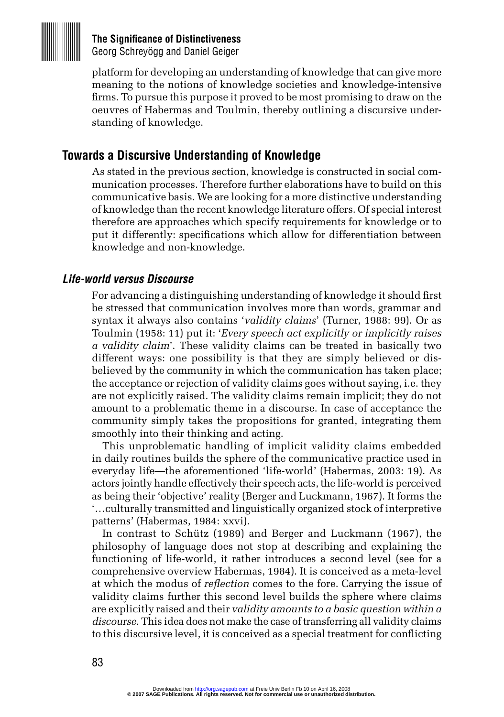

platform for developing an understanding of knowledge that can give more meaning to the notions of knowledge societies and knowledge-intensive firms. To pursue this purpose it proved to be most promising to draw on the oeuvres of Habermas and Toulmin, thereby outlining a discursive understanding of knowledge.

## **Towards a Discursive Understanding of Knowledge**

As stated in the previous section, knowledge is constructed in social communication processes. Therefore further elaborations have to build on this communicative basis. We are looking for a more distinctive understanding of knowledge than the recent knowledge literature offers. Of special interest therefore are approaches which specify requirements for knowledge or to put it differently: specifications which allow for differentiation between knowledge and non-knowledge.

## *Life-world versus Discourse*

For advancing a distinguishing understanding of knowledge it should first be stressed that communication involves more than words, grammar and syntax it always also contains '*validity claims*' (Turner, 1988: 99). Or as Toulmin (1958: 11) put it: '*Every speech act explicitly or implicitly raises a validity claim*'. These validity claims can be treated in basically two different ways: one possibility is that they are simply believed or disbelieved by the community in which the communication has taken place; the acceptance or rejection of validity claims goes without saying, i.e. they are not explicitly raised. The validity claims remain implicit; they do not amount to a problematic theme in a discourse. In case of acceptance the community simply takes the propositions for granted, integrating them smoothly into their thinking and acting.

This unproblematic handling of implicit validity claims embedded in daily routines builds the sphere of the communicative practice used in everyday life—the aforementioned 'life-world' (Habermas, 2003: 19). As actors jointly handle effectively their speech acts, the life-world is perceived as being their 'objective' reality (Berger and Luckmann, 1967). It forms the '…culturally transmitted and linguistically organized stock of interpretive patterns' (Habermas, 1984: xxvi).

In contrast to Schütz (1989) and Berger and Luckmann (1967), the philosophy of language does not stop at describing and explaining the functioning of life-world, it rather introduces a second level (see for a comprehensive overview Habermas, 1984). It is conceived as a meta-level at which the modus of *refl ection* comes to the fore. Carrying the issue of validity claims further this second level builds the sphere where claims are explicitly raised and their *validity amounts to a basic question within a discourse.* This idea does not make the case of transferring all validity claims to this discursive level, it is conceived as a special treatment for conflicting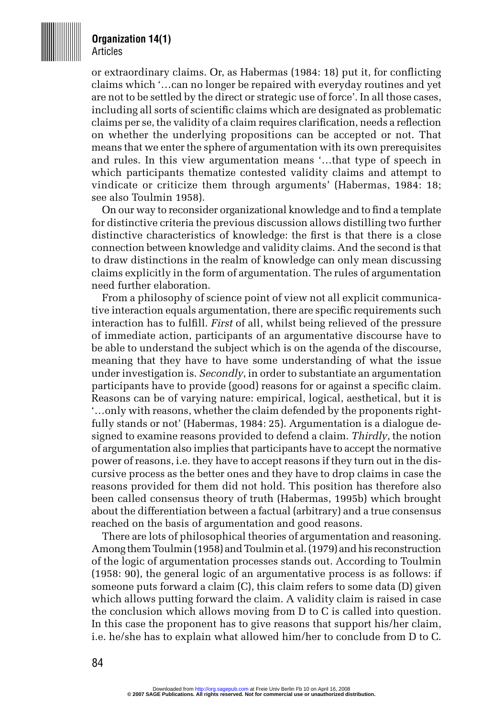

or extraordinary claims. Or, as Habermas (1984: 18) put it, for conflicting claims which '…can no longer be repaired with everyday routines and yet are not to be settled by the direct or strategic use of force'. In all those cases, including all sorts of scientific claims which are designated as problematic claims per se, the validity of a claim requires clarification, needs a reflection on whether the underlying propositions can be accepted or not. That means that we enter the sphere of argumentation with its own prerequisites and rules. In this view argumentation means '…that type of speech in which participants thematize contested validity claims and attempt to vindicate or criticize them through arguments' (Habermas, 1984: 18; see also Toulmin 1958).

On our way to reconsider organizational knowledge and to find a template for distinctive criteria the previous discussion allows distilling two further distinctive characteristics of knowledge: the first is that there is a close connection between knowledge and validity claims. And the second is that to draw distinctions in the realm of knowledge can only mean discussing claims explicitly in the form of argumentation. The rules of argumentation need further elaboration.

From a philosophy of science point of view not all explicit communicative interaction equals argumentation, there are specific requirements such interaction has to fulfill. *First* of all, whilst being relieved of the pressure of immediate action, participants of an argumentative discourse have to be able to understand the subject which is on the agenda of the discourse, meaning that they have to have some understanding of what the issue under investigation is. *Secondly*, in order to substantiate an argumentation participants have to provide (good) reasons for or against a specific claim. Reasons can be of varying nature: empirical, logical, aesthetical, but it is '…only with reasons, whether the claim defended by the proponents rightfully stands or not' (Habermas, 1984: 25). Argumentation is a dialogue designed to examine reasons provided to defend a claim. *Thirdly*, the notion of argumentation also implies that participants have to accept the normative power of reasons, i.e. they have to accept reasons if they turn out in the discursive process as the better ones and they have to drop claims in case the reasons provided for them did not hold. This position has therefore also been called consensus theory of truth (Habermas, 1995b) which brought about the differentiation between a factual (arbitrary) and a true consensus reached on the basis of argumentation and good reasons.

There are lots of philosophical theories of argumentation and reasoning. Among them Toulmin (1958) and Toulmin et al. (1979) and his reconstruction of the logic of argumentation processes stands out. According to Toulmin (1958: 90), the general logic of an argumentative process is as follows: if someone puts forward a claim (C), this claim refers to some data (D) given which allows putting forward the claim. A validity claim is raised in case the conclusion which allows moving from D to C is called into question. In this case the proponent has to give reasons that support his/her claim, i.e. he/she has to explain what allowed him/her to conclude from D to C.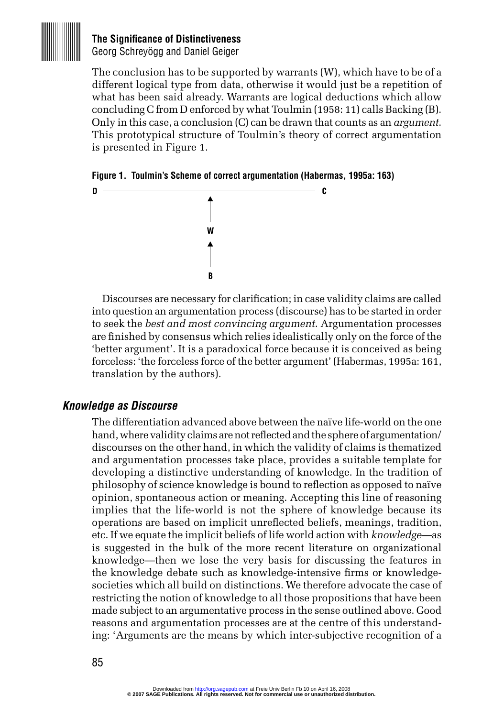

The conclusion has to be supported by warrants (W), which have to be of a different logical type from data, otherwise it would just be a repetition of what has been said already. Warrants are logical deductions which allow concluding C from D enforced by what Toulmin (1958: 11) calls Backing (B). Only in this case, a conclusion (C) can be drawn that counts as an *argument*. This prototypical structure of Toulmin's theory of correct argumentation is presented in Figure 1.





Discourses are necessary for clarification; in case validity claims are called into question an argumentation process (discourse) has to be started in order to seek the *best and most convincing argument*. Argumentation processes are finished by consensus which relies idealistically only on the force of the 'better argument'. It is a paradoxical force because it is conceived as being forceless: 'the forceless force of the better argument' (Habermas, 1995a: 161, translation by the authors).

## *Knowledge as Discourse*

The differentiation advanced above between the naïve life-world on the one hand, where validity claims are not reflected and the sphere of argumentation/ discourses on the other hand, in which the validity of claims is thematized and argumentation processes take place, provides a suitable template for developing a distinctive understanding of knowledge. In the tradition of philosophy of science knowledge is bound to reflection as opposed to naïve opinion, spontaneous action or meaning. Accepting this line of reasoning implies that the life-world is not the sphere of knowledge because its operations are based on implicit unreflected beliefs, meanings, tradition, etc. If we equate the implicit beliefs of life world action with *knowledge*—as is suggested in the bulk of the more recent literature on organizational knowledge—then we lose the very basis for discussing the features in the knowledge debate such as knowledge-intensive firms or knowledgesocieties which all build on distinctions. We therefore advocate the case of restricting the notion of knowledge to all those propositions that have been made subject to an argumentative process in the sense outlined above. Good reasons and argumentation processes are at the centre of this understanding: 'Arguments are the means by which inter-subjective recognition of a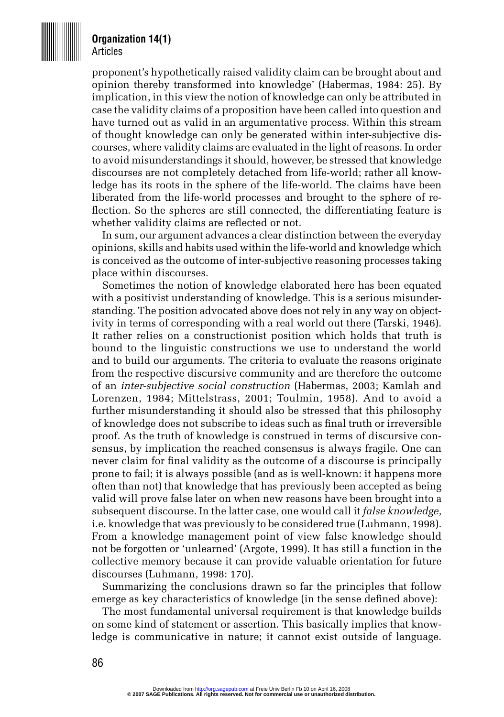

proponent's hypothetically raised validity claim can be brought about and opinion thereby transformed into knowledge' (Habermas, 1984: 25). By implication, in this view the notion of knowledge can only be attributed in case the validity claims of a proposition have been called into question and have turned out as valid in an argumentative process. Within this stream of thought knowledge can only be generated within inter-subjective discourses, where validity claims are evaluated in the light of reasons. In order to avoid misunderstandings it should, however, be stressed that knowledge discourses are not completely detached from life-world; rather all knowledge has its roots in the sphere of the life-world. The claims have been liberated from the life-world processes and brought to the sphere of reflection. So the spheres are still connected, the differentiating feature is whether validity claims are reflected or not.

In sum, our argument advances a clear distinction between the everyday opinions, skills and habits used within the life-world and knowledge which is conceived as the outcome of inter-subjective reasoning processes taking place within discourses.

Sometimes the notion of knowledge elaborated here has been equated with a positivist understanding of knowledge. This is a serious misunderstanding. The position advocated above does not rely in any way on objectivity in terms of corresponding with a real world out there (Tarski, 1946). It rather relies on a constructionist position which holds that truth is bound to the linguistic constructions we use to understand the world and to build our arguments. The criteria to evaluate the reasons originate from the respective discursive community and are therefore the outcome of an *inter-subjective social construction* (Habermas, 2003; Kamlah and Lorenzen, 1984; Mittelstrass, 2001; Toulmin, 1958). And to avoid a further misunderstanding it should also be stressed that this philosophy of knowledge does not subscribe to ideas such as final truth or irreversible proof. As the truth of knowledge is construed in terms of discursive consensus, by implication the reached consensus is always fragile. One can never claim for final validity as the outcome of a discourse is principally prone to fail; it is always possible (and as is well-known: it happens more often than not) that knowledge that has previously been accepted as being valid will prove false later on when new reasons have been brought into a subsequent discourse. In the latter case, one would call it *false knowledge*, i.e. knowledge that was previously to be considered true (Luhmann, 1998). From a knowledge management point of view false knowledge should not be forgotten or 'unlearned' (Argote, 1999). It has still a function in the collective memory because it can provide valuable orientation for future discourses (Luhmann, 1998: 170).

Summarizing the conclusions drawn so far the principles that follow emerge as key characteristics of knowledge (in the sense defined above):

The most fundamental universal requirement is that knowledge builds on some kind of statement or assertion. This basically implies that knowledge is communicative in nature; it cannot exist outside of language.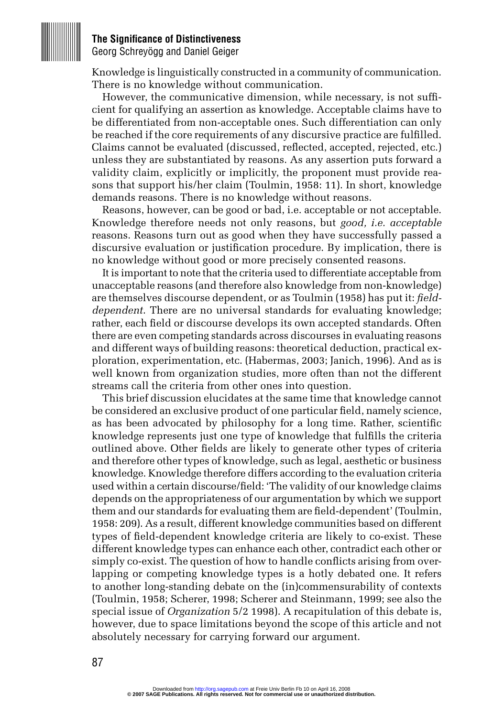

Georg Schreyögg and Daniel Geiger

Knowledge is linguistically constructed in a community of communication. There is no knowledge without communication.

However, the communicative dimension, while necessary, is not sufficient for qualifying an assertion as knowledge. Acceptable claims have to be differentiated from non-acceptable ones. Such differentiation can only be reached if the core requirements of any discursive practice are fulfilled. Claims cannot be evaluated (discussed, reflected, accepted, rejected, etc.) unless they are substantiated by reasons. As any assertion puts forward a validity claim, explicitly or implicitly, the proponent must provide reasons that support his/her claim (Toulmin, 1958: 11). In short, knowledge demands reasons. There is no knowledge without reasons.

Reasons, however, can be good or bad, i.e. acceptable or not acceptable. Knowledge therefore needs not only reasons, but *good, i.e. acceptable* reasons. Reasons turn out as good when they have successfully passed a discursive evaluation or justification procedure. By implication, there is no knowledge without good or more precisely consented reasons.

It is important to note that the criteria used to differentiate acceptable from unacceptable reasons (and therefore also knowledge from non-knowledge) are themselves discourse dependent, or as Toulmin (1958) has put it: *fielddependent*. There are no universal standards for evaluating knowledge; rather, each field or discourse develops its own accepted standards. Often there are even competing standards across discourses in evaluating reasons and different ways of building reasons: theoretical deduction, practical exploration, experimentation, etc. (Habermas, 2003; Janich, 1996). And as is well known from organization studies, more often than not the different streams call the criteria from other ones into question.

This brief discussion elucidates at the same time that knowledge cannot be considered an exclusive product of one particular fi eld, namely science, as has been advocated by philosophy for a long time. Rather, scientific knowledge represents just one type of knowledge that fulfills the criteria outlined above. Other fields are likely to generate other types of criteria and therefore other types of knowledge, such as legal, aesthetic or business knowledge. Knowledge therefore differs according to the evaluation criteria used within a certain discourse/field: 'The validity of our knowledge claims depends on the appropriateness of our argumentation by which we support them and our standards for evaluating them are field-dependent' (Toulmin, 1958: 209). As a result, different knowledge communities based on different types of field-dependent knowledge criteria are likely to co-exist. These different knowledge types can enhance each other, contradict each other or simply co-exist. The question of how to handle conflicts arising from overlapping or competing knowledge types is a hotly debated one. It refers to another long-standing debate on the (in)commensurability of contexts (Toulmin, 1958; Scherer, 1998; Scherer and Steinmann, 1999; see also the special issue of *Organization* 5/2 1998). A recapitulation of this debate is, however, due to space limitations beyond the scope of this article and not absolutely necessary for carrying forward our argument.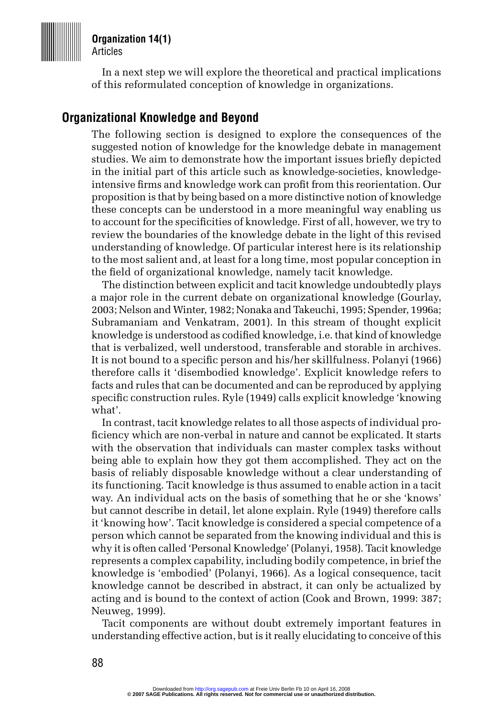

In a next step we will explore the theoretical and practical implications of this reformulated conception of knowledge in organizations.

## **Organizational Knowledge and Beyond**

The following section is designed to explore the consequences of the suggested notion of knowledge for the knowledge debate in management studies. We aim to demonstrate how the important issues briefly depicted in the initial part of this article such as knowledge-societies, knowledgeintensive firms and knowledge work can profit from this reorientation. Our proposition is that by being based on a more distinctive notion of knowledge these concepts can be understood in a more meaningful way enabling us to account for the specificities of knowledge. First of all, however, we try to review the boundaries of the knowledge debate in the light of this revised understanding of knowledge. Of particular interest here is its relationship to the most salient and, at least for a long time, most popular conception in the field of organizational knowledge, namely tacit knowledge.

The distinction between explicit and tacit knowledge undoubtedly plays a major role in the current debate on organizational knowledge (Gourlay, 2003; Nelson and Winter, 1982; Nonaka and Takeuchi, 1995; Spender, 1996a; Subramaniam and Venkatram, 2001). In this stream of thought explicit knowledge is understood as codified knowledge, *i.e.* that kind of knowledge that is verbalized, well understood, transferable and storable in archives. It is not bound to a specific person and his/her skillfulness. Polanyi (1966) therefore calls it 'disembodied knowledge'. Explicit knowledge refers to facts and rules that can be documented and can be reproduced by applying specific construction rules. Ryle (1949) calls explicit knowledge 'knowing what'.

In contrast, tacit knowledge relates to all those aspects of individual proficiency which are non-verbal in nature and cannot be explicated. It starts with the observation that individuals can master complex tasks without being able to explain how they got them accomplished. They act on the basis of reliably disposable knowledge without a clear understanding of its functioning. Tacit knowledge is thus assumed to enable action in a tacit way. An individual acts on the basis of something that he or she 'knows' but cannot describe in detail, let alone explain. Ryle (1949) therefore calls it 'knowing how'. Tacit knowledge is considered a special competence of a person which cannot be separated from the knowing individual and this is why it is often called 'Personal Knowledge' (Polanyi, 1958). Tacit knowledge represents a complex capability, including bodily competence, in brief the knowledge is 'embodied' (Polanyi, 1966). As a logical consequence, tacit knowledge cannot be described in abstract, it can only be actualized by acting and is bound to the context of action (Cook and Brown, 1999: 387; Neuweg, 1999).

Tacit components are without doubt extremely important features in understanding effective action, but is it really elucidating to conceive of this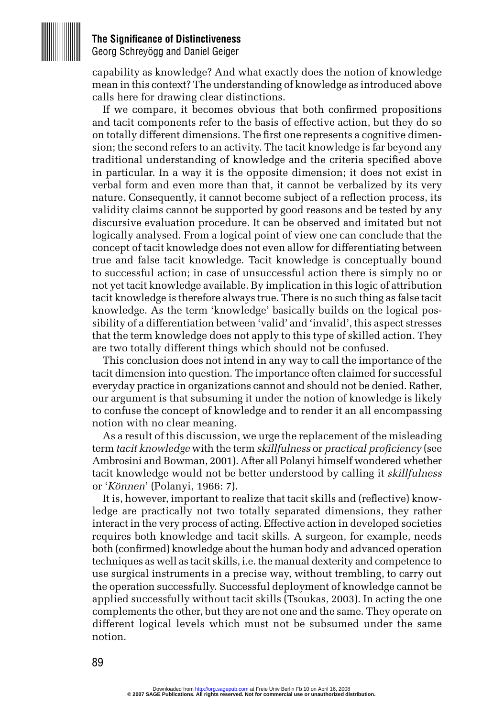

Georg Schreyögg and Daniel Geiger

capability as knowledge? And what exactly does the notion of knowledge mean in this context? The understanding of knowledge as introduced above calls here for drawing clear distinctions.

If we compare, it becomes obvious that both confirmed propositions and tacit components refer to the basis of effective action, but they do so on totally different dimensions. The first one represents a cognitive dimension; the second refers to an activity. The tacit knowledge is far beyond any traditional understanding of knowledge and the criteria specified above in particular. In a way it is the opposite dimension; it does not exist in verbal form and even more than that, it cannot be verbalized by its very nature. Consequently, it cannot become subject of a reflection process, its validity claims cannot be supported by good reasons and be tested by any discursive evaluation procedure. It can be observed and imitated but not logically analysed. From a logical point of view one can conclude that the concept of tacit knowledge does not even allow for differentiating between true and false tacit knowledge. Tacit knowledge is conceptually bound to successful action; in case of unsuccessful action there is simply no or not yet tacit knowledge available. By implication in this logic of attribution tacit knowledge is therefore always true. There is no such thing as false tacit knowledge. As the term 'knowledge' basically builds on the logical possibility of a differentiation between 'valid' and 'invalid', this aspect stresses that the term knowledge does not apply to this type of skilled action. They are two totally different things which should not be confused.

This conclusion does not intend in any way to call the importance of the tacit dimension into question. The importance often claimed for successful everyday practice in organizations cannot and should not be denied. Rather, our argument is that subsuming it under the notion of knowledge is likely to confuse the concept of knowledge and to render it an all encompassing notion with no clear meaning.

As a result of this discussion, we urge the replacement of the misleading term *tacit knowledge* with the term *skillfulness* or *practical proficiency* (see Ambrosini and Bowman, 2001). After all Polanyi himself wondered whether tacit knowledge would not be better understood by calling it *skillfulness*  or '*Können*' (Polanyi, 1966: 7).

It is, however, important to realize that tacit skills and (reflective) knowledge are practically not two totally separated dimensions, they rather interact in the very process of acting. Effective action in developed societies requires both knowledge and tacit skills. A surgeon, for example, needs both (confirmed) knowledge about the human body and advanced operation techniques as well as tacit skills, i.e. the manual dexterity and competence to use surgical instruments in a precise way, without trembling, to carry out the operation successfully. Successful deployment of knowledge cannot be applied successfully without tacit skills (Tsoukas, 2003). In acting the one complements the other, but they are not one and the same. They operate on different logical levels which must not be subsumed under the same notion.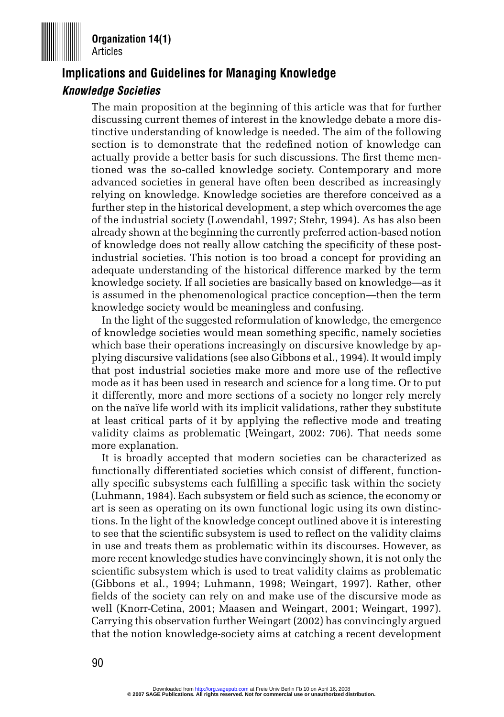

## **Implications and Guidelines for Managing Knowledge**

## *Knowledge Societies*

The main proposition at the beginning of this article was that for further discussing current themes of interest in the knowledge debate a more distinctive understanding of knowledge is needed. The aim of the following section is to demonstrate that the redefined notion of knowledge can actually provide a better basis for such discussions. The first theme mentioned was the so-called knowledge society. Contemporary and more advanced societies in general have often been described as increasingly relying on knowledge. Knowledge societies are therefore conceived as a further step in the historical development, a step which overcomes the age of the industrial society (Lowendahl, 1997; Stehr, 1994). As has also been already shown at the beginning the currently preferred action-based notion of knowledge does not really allow catching the specificity of these postindustrial societies. This notion is too broad a concept for providing an adequate understanding of the historical difference marked by the term knowledge society. If all societies are basically based on knowledge—as it is assumed in the phenomenological practice conception—then the term knowledge society would be meaningless and confusing.

In the light of the suggested reformulation of knowledge, the emergence of knowledge societies would mean something specific, namely societies which base their operations increasingly on discursive knowledge by applying discursive validations (see also Gibbons et al., 1994). It would imply that post industrial societies make more and more use of the reflective mode as it has been used in research and science for a long time. Or to put it differently, more and more sections of a society no longer rely merely on the naïve life world with its implicit validations, rather they substitute at least critical parts of it by applying the reflective mode and treating validity claims as problematic (Weingart, 2002: 706). That needs some more explanation.

It is broadly accepted that modern societies can be characterized as functionally differentiated societies which consist of different, functionally specific subsystems each fulfilling a specific task within the society (Luhmann, 1984). Each subsystem or field such as science, the economy or art is seen as operating on its own functional logic using its own distinctions. In the light of the knowledge concept outlined above it is interesting to see that the scientific subsystem is used to reflect on the validity claims in use and treats them as problematic within its discourses. However, as more recent knowledge studies have convincingly shown, it is not only the scientific subsystem which is used to treat validity claims as problematic (Gibbons et al., 1994; Luhmann, 1998; Weingart, 1997). Rather, other fields of the society can rely on and make use of the discursive mode as well (Knorr-Cetina, 2001; Maasen and Weingart, 2001; Weingart, 1997). Carrying this observation further Weingart (2002) has convincingly argued that the notion knowledge-society aims at catching a recent development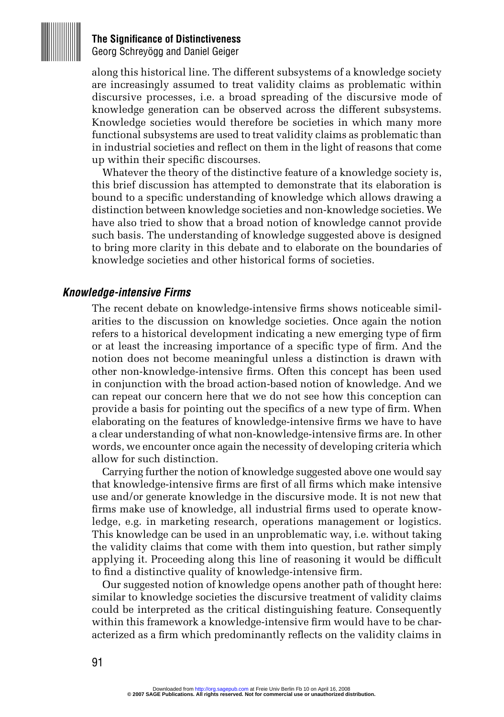

Georg Schreyögg and Daniel Geiger

along this historical line. The different subsystems of a knowledge society are increasingly assumed to treat validity claims as problematic within discursive processes, i.e. a broad spreading of the discursive mode of knowledge generation can be observed across the different subsystems. Knowledge societies would therefore be societies in which many more functional subsystems are used to treat validity claims as problematic than in industrial societies and reflect on them in the light of reasons that come up within their specific discourses.

Whatever the theory of the distinctive feature of a knowledge society is, this brief discussion has attempted to demonstrate that its elaboration is bound to a specific understanding of knowledge which allows drawing a distinction between knowledge societies and non-knowledge societies. We have also tried to show that a broad notion of knowledge cannot provide such basis. The understanding of knowledge suggested above is designed to bring more clarity in this debate and to elaborate on the boundaries of knowledge societies and other historical forms of societies.

## *Knowledge-intensive Firms*

The recent debate on knowledge-intensive firms shows noticeable similarities to the discussion on knowledge societies. Once again the notion refers to a historical development indicating a new emerging type of firm or at least the increasing importance of a specific type of firm. And the notion does not become meaningful unless a distinction is drawn with other non-knowledge-intensive firms. Often this concept has been used in conjunction with the broad action-based notion of knowledge. And we can repeat our concern here that we do not see how this conception can provide a basis for pointing out the specifics of a new type of firm. When elaborating on the features of knowledge-intensive firms we have to have a clear understanding of what non-knowledge-intensive firms are. In other words, we encounter once again the necessity of developing criteria which allow for such distinction.

Carrying further the notion of knowledge suggested above one would say that knowledge-intensive firms are first of all firms which make intensive use and/or generate knowledge in the discursive mode. It is not new that firms make use of knowledge, all industrial firms used to operate knowledge, e.g. in marketing research, operations management or logistics. This knowledge can be used in an unproblematic way, i.e. without taking the validity claims that come with them into question, but rather simply applying it. Proceeding along this line of reasoning it would be difficult to find a distinctive quality of knowledge-intensive firm.

Our suggested notion of knowledge opens another path of thought here: similar to knowledge societies the discursive treatment of validity claims could be interpreted as the critical distinguishing feature. Consequently within this framework a knowledge-intensive firm would have to be characterized as a firm which predominantly reflects on the validity claims in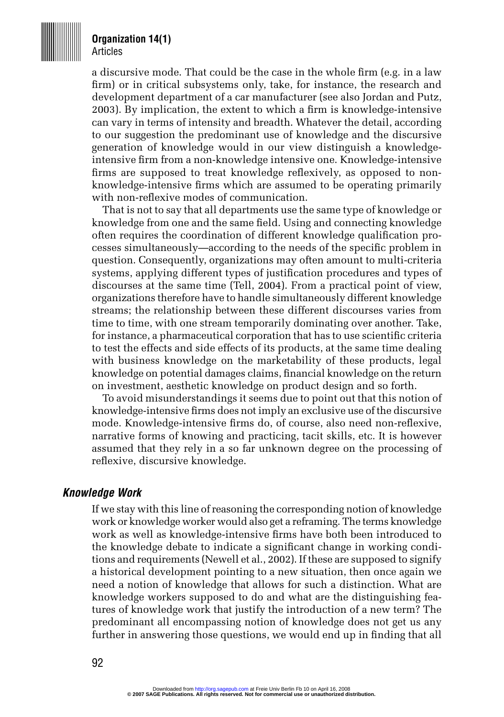

a discursive mode. That could be the case in the whole firm (e.g. in a law firm) or in critical subsystems only, take, for instance, the research and development department of a car manufacturer (see also Jordan and Putz, 2003). By implication, the extent to which a firm is knowledge-intensive can vary in terms of intensity and breadth. Whatever the detail, according to our suggestion the predominant use of knowledge and the discursive generation of knowledge would in our view distinguish a knowledgeintensive firm from a non-knowledge intensive one. Knowledge-intensive firms are supposed to treat knowledge reflexively, as opposed to nonknowledge-intensive firms which are assumed to be operating primarily with non-reflexive modes of communication.

That is not to say that all departments use the same type of knowledge or knowledge from one and the same field. Using and connecting knowledge often requires the coordination of different knowledge qualification processes simultaneously—according to the needs of the specific problem in question. Consequently, organizations may often amount to multi-criteria systems, applying different types of justification procedures and types of discourses at the same time (Tell, 2004). From a practical point of view, organizations therefore have to handle simultaneously different knowledge streams; the relationship between these different discourses varies from time to time, with one stream temporarily dominating over another. Take, for instance, a pharmaceutical corporation that has to use scientific criteria to test the effects and side effects of its products, at the same time dealing with business knowledge on the marketability of these products, legal knowledge on potential damages claims, financial knowledge on the return on investment, aesthetic knowledge on product design and so forth.

To avoid misunderstandings it seems due to point out that this notion of knowledge-intensive firms does not imply an exclusive use of the discursive mode. Knowledge-intensive firms do, of course, also need non-reflexive, narrative forms of knowing and practicing, tacit skills, etc. It is however assumed that they rely in a so far unknown degree on the processing of reflexive, discursive knowledge.

#### *Knowledge Work*

If we stay with this line of reasoning the corresponding notion of knowledge work or knowledge worker would also get a reframing. The terms knowledge work as well as knowledge-intensive firms have both been introduced to the knowledge debate to indicate a significant change in working conditions and requirements (Newell et al., 2002). If these are supposed to signify a historical development pointing to a new situation, then once again we need a notion of knowledge that allows for such a distinction. What are knowledge workers supposed to do and what are the distinguishing features of knowledge work that justify the introduction of a new term? The predominant all encompassing notion of knowledge does not get us any further in answering those questions, we would end up in finding that all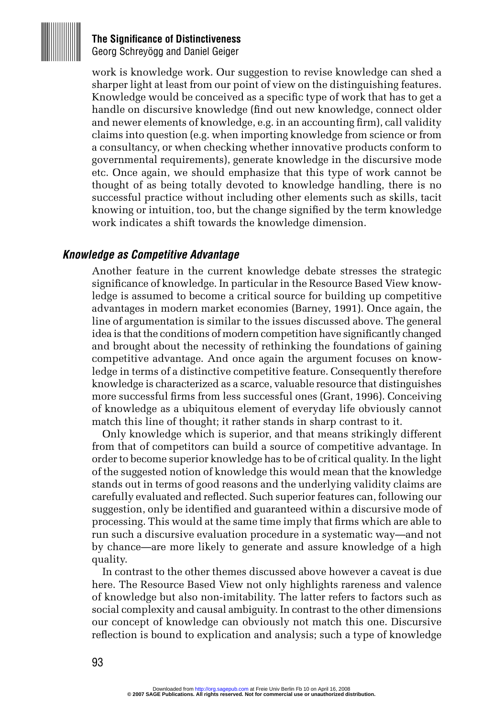

work is knowledge work. Our suggestion to revise knowledge can shed a sharper light at least from our point of view on the distinguishing features. Knowledge would be conceived as a specific type of work that has to get a handle on discursive knowledge (find out new knowledge, connect older and newer elements of knowledge, e.g. in an accounting firm), call validity claims into question (e.g. when importing knowledge from science or from a consultancy, or when checking whether innovative products conform to governmental requirements), generate knowledge in the discursive mode etc. Once again, we should emphasize that this type of work cannot be thought of as being totally devoted to knowledge handling, there is no successful practice without including other elements such as skills, tacit knowing or intuition, too, but the change signified by the term knowledge work indicates a shift towards the knowledge dimension.

## *Knowledge as Competitive Advantage*

Another feature in the current knowledge debate stresses the strategic significance of knowledge. In particular in the Resource Based View knowledge is assumed to become a critical source for building up competitive advantages in modern market economies (Barney, 1991). Once again, the line of argumentation is similar to the issues discussed above. The general idea is that the conditions of modern competition have significantly changed and brought about the necessity of rethinking the foundations of gaining competitive advantage. And once again the argument focuses on knowledge in terms of a distinctive competitive feature. Consequently therefore knowledge is characterized as a scarce, valuable resource that distinguishes more successful firms from less successful ones (Grant, 1996). Conceiving of knowledge as a ubiquitous element of everyday life obviously cannot match this line of thought; it rather stands in sharp contrast to it.

Only knowledge which is superior, and that means strikingly different from that of competitors can build a source of competitive advantage. In order to become superior knowledge has to be of critical quality. In the light of the suggested notion of knowledge this would mean that the knowledge stands out in terms of good reasons and the underlying validity claims are carefully evaluated and reflected. Such superior features can, following our suggestion, only be identified and guaranteed within a discursive mode of processing. This would at the same time imply that firms which are able to run such a discursive evaluation procedure in a systematic way—and not by chance—are more likely to generate and assure knowledge of a high quality.

In contrast to the other themes discussed above however a caveat is due here. The Resource Based View not only highlights rareness and valence of knowledge but also non-imitability. The latter refers to factors such as social complexity and causal ambiguity. In contrast to the other dimensions our concept of knowledge can obviously not match this one. Discursive reflection is bound to explication and analysis; such a type of knowledge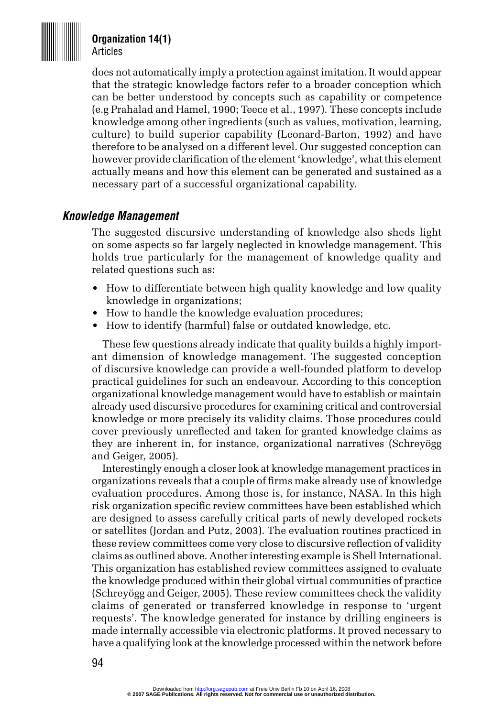

does not automatically imply a protection against imitation. It would appear that the strategic knowledge factors refer to a broader conception which can be better understood by concepts such as capability or competence (e.g Prahalad and Hamel, 1990; Teece et al., 1997). These concepts include knowledge among other ingredients (such as values, motivation, learning, culture) to build superior capability (Leonard-Barton, 1992) and have therefore to be analysed on a different level. Our suggested conception can however provide clarification of the element 'knowledge', what this element actually means and how this element can be generated and sustained as a necessary part of a successful organizational capability.

## *Knowledge Management*

The suggested discursive understanding of knowledge also sheds light on some aspects so far largely neglected in knowledge management. This holds true particularly for the management of knowledge quality and related questions such as:

- How to differentiate between high quality knowledge and low quality knowledge in organizations;
- How to handle the knowledge evaluation procedures;
- How to identify (harmful) false or outdated knowledge, etc.

These few questions already indicate that quality builds a highly important dimension of knowledge management. The suggested conception of discursive knowledge can provide a well-founded platform to develop practical guidelines for such an endeavour. According to this conception organizational knowledge management would have to establish or maintain already used discursive procedures for examining critical and controversial knowledge or more precisely its validity claims. Those procedures could cover previously unreflected and taken for granted knowledge claims as they are inherent in, for instance, organizational narratives (Schreyögg and Geiger, 2005).

Interestingly enough a closer look at knowledge management practices in organizations reveals that a couple of firms make already use of knowledge evaluation procedures. Among those is, for instance, NASA. In this high risk organization specific review committees have been established which are designed to assess carefully critical parts of newly developed rockets or satellites (Jordan and Putz, 2003). The evaluation routines practiced in these review committees come very close to discursive reflection of validity claims as outlined above. Another interesting example is Shell International. This organization has established review committees assigned to evaluate the knowledge produced within their global virtual communities of practice (Schreyögg and Geiger, 2005). These review committees check the validity claims of generated or transferred knowledge in response to 'urgent requests'. The knowledge generated for instance by drilling engineers is made internally accessible via electronic platforms. It proved necessary to have a qualifying look at the knowledge processed within the network before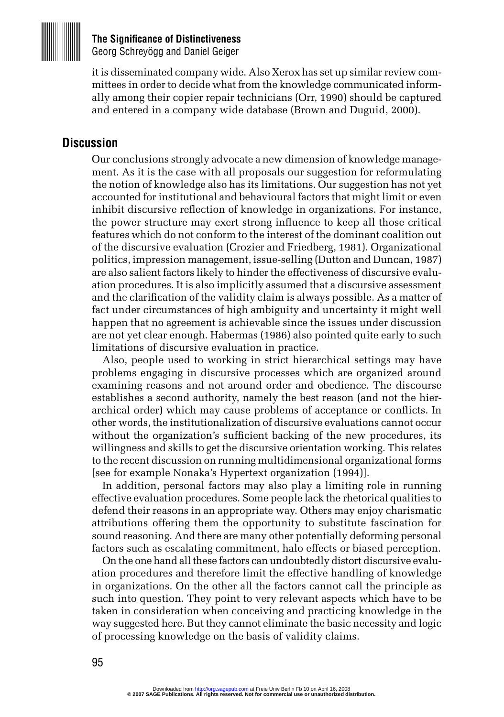

it is disseminated company wide. Also Xerox has set up similar review committees in order to decide what from the knowledge communicated informally among their copier repair technicians (Orr, 1990) should be captured and entered in a company wide database (Brown and Duguid, 2000).

## **Discussion**

Our conclusions strongly advocate a new dimension of knowledge management. As it is the case with all proposals our suggestion for reformulating the notion of knowledge also has its limitations. Our suggestion has not yet accounted for institutional and behavioural factors that might limit or even inhibit discursive reflection of knowledge in organizations. For instance, the power structure may exert strong influence to keep all those critical features which do not conform to the interest of the dominant coalition out of the discursive evaluation (Crozier and Friedberg, 1981). Organizational politics, impression management, issue-selling (Dutton and Duncan, 1987) are also salient factors likely to hinder the effectiveness of discursive evaluation procedures. It is also implicitly assumed that a discursive assessment and the clarification of the validity claim is always possible. As a matter of fact under circumstances of high ambiguity and uncertainty it might well happen that no agreement is achievable since the issues under discussion are not yet clear enough. Habermas (1986) also pointed quite early to such limitations of discursive evaluation in practice.

Also, people used to working in strict hierarchical settings may have problems engaging in discursive processes which are organized around examining reasons and not around order and obedience. The discourse establishes a second authority, namely the best reason (and not the hierarchical order) which may cause problems of acceptance or conflicts. In other words, the institutionalization of discursive evaluations cannot occur without the organization's sufficient backing of the new procedures, its willingness and skills to get the discursive orientation working. This relates to the recent discussion on running multidimensional organizational forms [see for example Nonaka's Hypertext organization (1994)].

In addition, personal factors may also play a limiting role in running effective evaluation procedures. Some people lack the rhetorical qualities to defend their reasons in an appropriate way. Others may enjoy charismatic attributions offering them the opportunity to substitute fascination for sound reasoning. And there are many other potentially deforming personal factors such as escalating commitment, halo effects or biased perception.

On the one hand all these factors can undoubtedly distort discursive evaluation procedures and therefore limit the effective handling of knowledge in organizations. On the other all the factors cannot call the principle as such into question. They point to very relevant aspects which have to be taken in consideration when conceiving and practicing knowledge in the way suggested here. But they cannot eliminate the basic necessity and logic of processing knowledge on the basis of validity claims.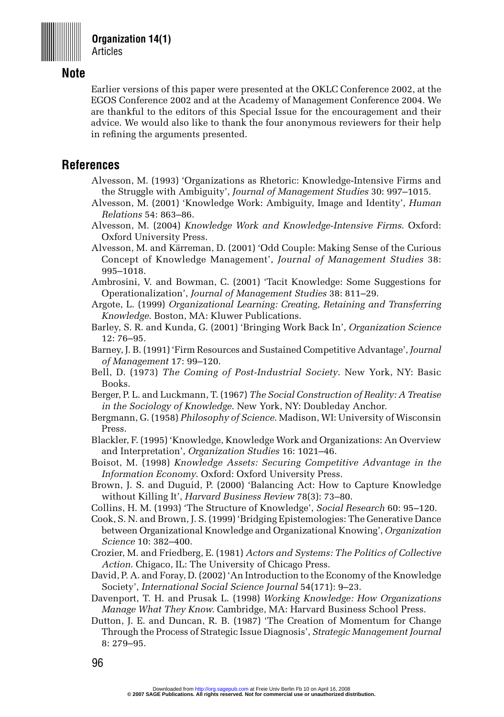

#### **Note**

Earlier versions of this paper were presented at the OKLC Conference 2002, at the EGOS Conference 2002 and at the Academy of Management Conference 2004. We are thankful to the editors of this Special Issue for the encouragement and their advice. We would also like to thank the four anonymous reviewers for their help in refining the arguments presented.

## **References**

- Alvesson, M. (1993) 'Organizations as Rhetoric: Knowledge-Intensive Firms and the Struggle with Ambiguity', *Journal of Management Studies* 30: 997–1015.
- Alvesson, M. (2001) 'Knowledge Work: Ambiguity, Image and Identity', *Human Relations* 54: 863–86.
- Alvesson, M. (2004) *Knowledge Work and Knowledge-Intensive Firms*. Oxford: Oxford University Press.
- Alvesson, M. and Kärreman, D. (2001) 'Odd Couple: Making Sense of the Curious Concept of Knowledge Management', *Journal of Management Studies* 38: 995–1018.
- Ambrosini, V. and Bowman, C. (2001) 'Tacit Knowledge: Some Suggestions for Operationalization', *Journal of Management Studies* 38: 811–29.
- Argote, L. (1999) *Organizational Learning: Creating, Retaining and Transferring Knowledge*. Boston, MA: Kluwer Publications.
- Barley, S. R. and Kunda, G. (2001) 'Bringing Work Back In', *Organization Science* 12: 76–95.
- Barney, J. B. (1991) 'Firm Resources and Sustained Competitive Advantage', *Journal of Management* 17: 99–120.
- Bell, D. (1973) *The Coming of Post-Industrial Society*. New York, NY: Basic Books.
- Berger, P. L. and Luckmann, T. (1967) *The Social Construction of Reality: A Treatise in the Sociology of Knowledge*. New York, NY: Doubleday Anchor.
- Bergmann, G. (1958) *Philosophy of Science*. Madison, WI: University of Wisconsin Press.
- Blackler, F. (1995) 'Knowledge, Knowledge Work and Organizations: An Overview and Interpretation', *Organization Studies* 16: 1021–46.
- Boisot, M. (1998) *Knowledge Assets: Securing Competitive Advantage in the Information Economy*. Oxford: Oxford University Press.
- Brown, J. S. and Duguid, P. (2000) 'Balancing Act: How to Capture Knowledge without Killing It', *Harvard Business Review* 78(3): 73–80.
- Collins, H. M. (1993) 'The Structure of Knowledge', *Social Research* 60: 95–120.
- Cook, S. N. and Brown, J. S. (1999) 'Bridging Epistemologies: The Generative Dance between Organizational Knowledge and Organizational Knowing', *Organization Science* 10: 382–400.
- Crozier, M. and Friedberg, E. (1981) *Actors and Systems: The Politics of Collective Action*. Chigaco, IL: The University of Chicago Press.
- David, P. A. and Foray, D. (2002) 'An Introduction to the Economy of the Knowledge Society', *International Social Science Journal* 54(171): 9–23.
- Davenport, T. H. and Prusak L. (1998) *Working Knowledge: How Organizations Manage What They Know.* Cambridge, MA: Harvard Business School Press.
- Dutton, J. E. and Duncan, R. B. (1987) 'The Creation of Momentum for Change Through the Process of Strategic Issue Diagnosis', *Strategic Management Journal* 8: 279–95.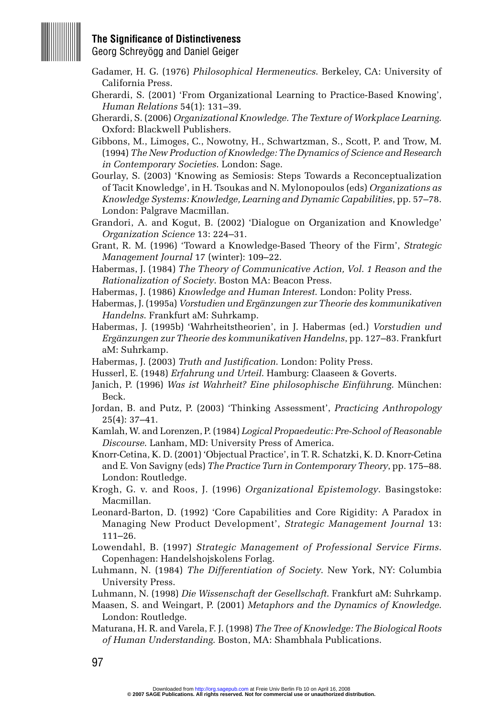

Georg Schreyögg and Daniel Geiger

- Gadamer, H. G. (1976) *Philosophical Hermeneutics*. Berkeley, CA: University of California Press.
- Gherardi, S. (2001) 'From Organizational Learning to Practice-Based Knowing', *Human Relations* 54(1): 131–39.
- Gherardi, S. (2006) *Organizational Knowledge. The Texture of Workplace Learning*. Oxford: Blackwell Publishers.
- Gibbons, M., Limoges, C., Nowotny, H., Schwartzman, S., Scott, P. and Trow, M. (1994) *The New Production of Knowledge: The Dynamics of Science and Research in Contemporary Societies*. London: Sage.
- Gourlay, S. (2003) 'Knowing as Semiosis: Steps Towards a Reconceptualization of Tacit Knowledge', in H. Tsoukas and N. Mylonopoulos (eds) *Organizations as Knowledge Systems: Knowledge, Learning and Dynamic Capabilities*, pp. 57–78. London: Palgrave Macmillan.
- Grandori, A. and Kogut, B. (2002) 'Dialogue on Organization and Knowledge' *Organization Science* 13: 224–31.
- Grant, R. M. (1996) 'Toward a Knowledge-Based Theory of the Firm', *Strategic Management Journal* 17 (winter): 109–22.
- Habermas, J. (1984) *The Theory of Communicative Action, Vol. 1 Reason and the Rationalization of Society*. Boston MA: Beacon Press.
- Habermas, J. (1986) *Knowledge and Human Interest*. London: Polity Press.
- Habermas, J. (1995a) *Vorstudien und Ergänzungen zur Theorie des kommunikativen Handelns*. Frankfurt aM: Suhrkamp.
- Habermas, J. (1995b) 'Wahrheitstheorien', in J. Habermas (ed.) *Vorstudien und Ergänzungen zur Theorie des kommunikativen Handelns*, pp. 127–83. Frankfurt aM: Suhrkamp.
- Habermas, J. (2003) *Truth and Justification*. London: Polity Press.
- Husserl, E. (1948) *Erfahrung und Urteil*. Hamburg: Claaseen & Goverts.
- Janich, P. (1996) *Was ist Wahrheit? Eine philosophische Einführung*. München: Beck.
- Jordan, B. and Putz, P. (2003) 'Thinking Assessment', *Practicing Anthropology* 25(4): 37–41.
- Kamlah, W. and Lorenzen, P. (1984) *Logical Propaedeutic: Pre-School of Reasonable Discourse*. Lanham, MD: University Press of America.
- Knorr-Cetina, K. D. (2001) 'Objectual Practice', in T. R. Schatzki, K. D. Knorr-Cetina and E. Von Savigny (eds) *The Practice Turn in Contemporary Theory*, pp. 175–88. London: Routledge.
- Krogh, G. v. and Roos, J. (1996) *Organizational Epistemology*. Basingstoke: Macmillan.
- Leonard-Barton, D. (1992) 'Core Capabilities and Core Rigidity: A Paradox in Managing New Product Development', *Strategic Management Journal* 13: 111–26.
- Lowendahl, B. (1997) *Strategic Management of Professional Service Firms*. Copenhagen: Handelshojskolens Forlag.
- Luhmann, N. (1984) *The Differentiation of Society*. New York, NY: Columbia University Press.
- Luhmann, N. (1998) *Die Wissenschaft der Gesellschaft*. Frankfurt aM: Suhrkamp.
- Maasen, S. and Weingart, P. (2001) *Metaphors and the Dynamics of Knowledge*. London: Routledge.
- Maturana, H. R. and Varela, F. J. (1998) *The Tree of Knowledge: The Biological Roots of Human Understanding*. Boston, MA: Shambhala Publications.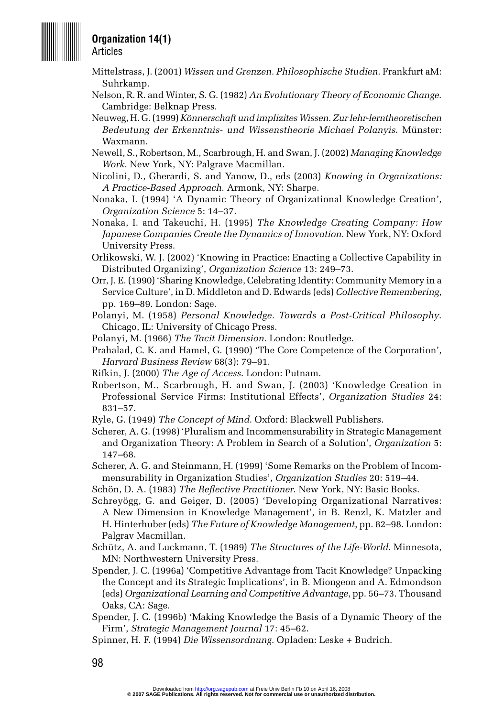## **Organization 14(1)**



- Articles
- Mittelstrass, J. (2001) *Wissen und Grenzen. Philosophische Studien*. Frankfurt aM: Suhrkamp.
- Nelson, R. R. and Winter, S. G. (1982) *An Evolutionary Theory of Economic Change*. Cambridge: Belknap Press.
- Neuweg, H. G. (1999) *Könnerschaft und implizites Wissen. Zur lehr-lerntheoretischen Bedeutung der Erkenntnis- und Wissenstheorie Michael Polanyis*. Münster: Waxmann.
- Newell, S., Robertson, M., Scarbrough, H. and Swan, J. (2002) *Managing Knowledge Work*. New York, NY: Palgrave Macmillan.
- Nicolini, D., Gherardi, S. and Yanow, D., eds (2003) *Knowing in Organizations: A Practice-Based Approach*. Armonk, NY: Sharpe.
- Nonaka, I. (1994) 'A Dynamic Theory of Organizational Knowledge Creation', *Organization Science* 5: 14–37.
- Nonaka, I. and Takeuchi, H. (1995) *The Knowledge Creating Company: How Japanese Companies Create the Dynamics of Innovation*. New York, NY: Oxford University Press.
- Orlikowski, W. J. (2002) 'Knowing in Practice: Enacting a Collective Capability in Distributed Organizing', *Organization Science* 13: 249–73.
- Orr, J. E. (1990) 'Sharing Knowledge, Celebrating Identity: Community Memory in a Service Culture', in D. Middleton and D. Edwards (eds) *Collective Remembering*, pp. 169–89. London: Sage.
- Polanyi, M. (1958) *Personal Knowledge. Towards a Post-Critical Philosophy*. Chicago, IL: University of Chicago Press.
- Polanyi, M. (1966) *The Tacit Dimension*. London: Routledge.
- Prahalad, C. K. and Hamel, G. (1990) 'The Core Competence of the Corporation', *Harvard Business Review* 68(3): 79–91.
- Rifkin, J. (2000) *The Age of Access*. London: Putnam.
- Robertson, M., Scarbrough, H. and Swan, J. (2003) 'Knowledge Creation in Professional Service Firms: Institutional Effects', *Organization Studies* 24: 831–57.
- Ryle, G. (1949) *The Concept of Mind*. Oxford: Blackwell Publishers.
- Scherer, A. G. (1998) 'Pluralism and Incommensurability in Strategic Management and Organization Theory: A Problem in Search of a Solution', *Organization* 5: 147–68.
- Scherer, A. G. and Steinmann, H. (1999) 'Some Remarks on the Problem of Incommensurability in Organization Studies', *Organization Studies* 20: 519–44.
- Schön, D. A. (1983) *The Reflective Practitioner*. New York, NY: Basic Books.
- Schreyögg, G. and Geiger, D. (2005) 'Developing Organizational Narratives: A New Dimension in Knowledge Management', in B. Renzl, K. Matzler and H. Hinterhuber (eds) *The Future of Knowledge Management*, pp. 82–98. London: Palgrav Macmillan.
- Schütz, A. and Luckmann, T. (1989) *The Structures of the Life-World*. Minnesota, MN: Northwestern University Press.
- Spender, J. C. (1996a) 'Competitive Advantage from Tacit Knowledge? Unpacking the Concept and its Strategic Implications', in B. Miongeon and A. Edmondson (eds) *Organizational Learning and Competitive Advantage*, pp. 56–73. Thousand Oaks, CA: Sage.
- Spender, J. C. (1996b) 'Making Knowledge the Basis of a Dynamic Theory of the Firm', *Strategic Management Journal* 17: 45–62.
- Spinner, H. F. (1994) *Die Wissensordnung*. Opladen: Leske + Budrich.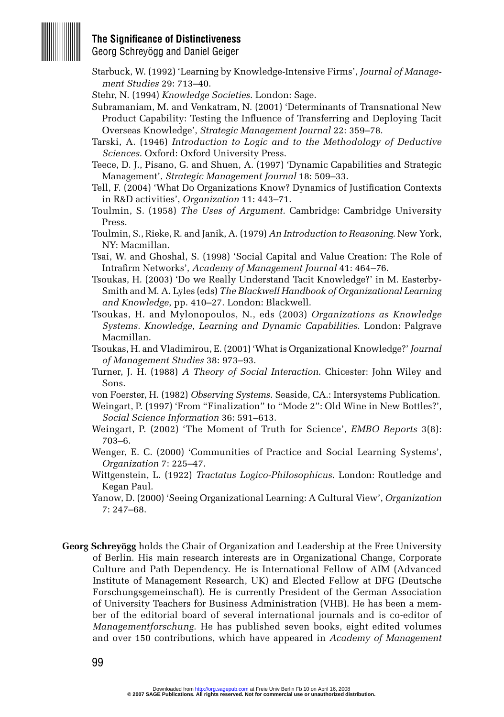

Georg Schreyögg and Daniel Geiger

- Starbuck, W. (1992) 'Learning by Knowledge-Intensive Firms', *Journal of Management Studies* 29: 713–40.
- Stehr, N. (1994) *Knowledge Societies*. London: Sage.
- Subramaniam, M. and Venkatram, N. (2001) 'Determinants of Transnational New Product Capability: Testing the Influence of Transferring and Deploying Tacit Overseas Knowledge', *Strategic Management Journal* 22: 359–78.
- Tarski, A. (1946) *Introduction to Logic and to the Methodology of Deductive Sciences*. Oxford: Oxford University Press.
- Teece, D. J., Pisano, G. and Shuen, A. (1997) 'Dynamic Capabilities and Strategic Management', *Strategic Management Journal* 18: 509–33.
- Tell, F. (2004) 'What Do Organizations Know? Dynamics of Justification Contexts in R&D activities', *Organization* 11: 443–71.
- Toulmin, S. (1958) *The Uses of Argument*. Cambridge: Cambridge University Press.
- Toulmin, S., Rieke, R. and Janik, A. (1979) *An Introduction to Reasoning*. New York, NY: Macmillan.
- Tsai, W. and Ghoshal, S. (1998) 'Social Capital and Value Creation: The Role of Intrafirm Networks', *Academy of Management Journal* 41: 464-76.
- Tsoukas, H. (2003) 'Do we Really Understand Tacit Knowledge?' in M. Easterby-Smith and M. A. Lyles (eds) *The Blackwell Handbook of Organizational Learning and Knowledge*, pp. 410–27. London: Blackwell.
- Tsoukas, H. and Mylonopoulos, N., eds (2003) *Organizations as Knowledge Systems. Knowledge, Learning and Dynamic Capabilities*. London: Palgrave Macmillan.
- Tsoukas, H. and Vladimirou, E. (2001) 'What is Organizational Knowledge?' *Journal of Management Studies* 38: 973–93.
- Turner, J. H. (1988) *A Theory of Social Interaction*. Chicester: John Wiley and Sons.
- von Foerster, H. (1982) *Observing Systems*. Seaside, CA.: Intersystems Publication.
- Weingart, P. (1997) 'From "Finalization" to "Mode 2": Old Wine in New Bottles?', *Social Science Information* 36: 591–613.
- Weingart, P. (2002) 'The Moment of Truth for Science', *EMBO Reports* 3(8): 703–6.
- Wenger, E. C. (2000) 'Communities of Practice and Social Learning Systems', *Organization* 7: 225–47.
- Wittgenstein, L. (1922) *Tractatus Logico-Philosophicus*. London: Routledge and Kegan Paul.
- Yanow, D. (2000) 'Seeing Organizational Learning: A Cultural View', *Organization* 7: 247–68.
- **Georg Schreyögg** holds the Chair of Organization and Leadership at the Free University of Berlin. His main research interests are in Organizational Change, Corporate Culture and Path Dependency. He is International Fellow of AIM (Advanced Institute of Management Research, UK) and Elected Fellow at DFG (Deutsche Forschungsgemeinschaft). He is currently President of the German Association of University Teachers for Business Administration (VHB). He has been a member of the editorial board of several international journals and is co-editor of *Managementforschung*. He has published seven books, eight edited volumes and over 150 contributions, which have appeared in *Academy of Management*